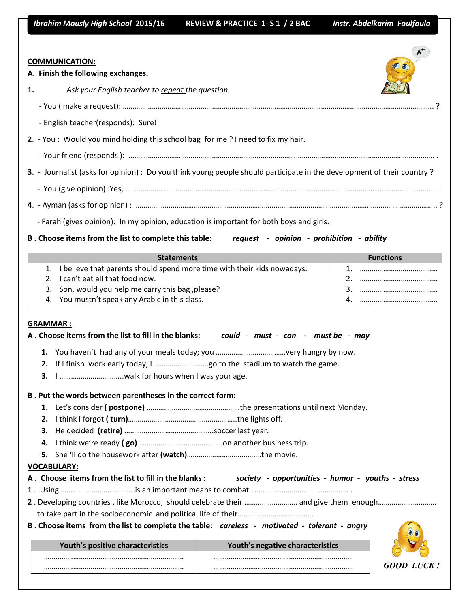*Ibrahim Mously High School* **2015/16** 

 **REVIEW & PRACTICE 1-S 1 / 2 BAC** 

**Instr. Abdelkarim Foulfoula** 

| <b>COMMUNICATION:</b><br>A. Finish the following exchanges.                                                            |                   |
|------------------------------------------------------------------------------------------------------------------------|-------------------|
| Ask your English teacher to repeat the question.<br>1.                                                                 |                   |
|                                                                                                                        |                   |
| - English teacher(responds): Sure!                                                                                     |                   |
| 2. - You: Would you mind holding this school bag for me ? I need to fix my hair.                                       |                   |
|                                                                                                                        |                   |
| 3. - Journalist (asks for opinion) : Do you think young people should participate in the development of their country? |                   |
|                                                                                                                        |                   |
|                                                                                                                        |                   |
| - Farah (gives opinion): In my opinion, education is important for both boys and girls.                                |                   |
| B. Choose items from the list to complete this table: request - opinion - prohibition - ability                        |                   |
|                                                                                                                        |                   |
| <b>Statements</b>                                                                                                      | <b>Functions</b>  |
| 1. I believe that parents should spend more time with their kids nowadays.<br>I can't eat all that food now.<br>2.     | 1. …………………………………… |
| Son, would you help me carry this bag, please?<br>3.                                                                   |                   |
| You mustn't speak any Arabic in this class.<br>4.                                                                      | 4. …………………………………… |
| <b>GRAMMAR:</b><br>A. Choose items from the list to fill in the blanks: could - must - can - must be - may<br>2.<br>З. |                   |
| B. Put the words between parentheses in the correct form:                                                              |                   |
|                                                                                                                        |                   |
|                                                                                                                        |                   |
|                                                                                                                        |                   |
| з.                                                                                                                     |                   |
| 4.                                                                                                                     |                   |
| 5.                                                                                                                     |                   |
| <b>VOCABULARY:</b>                                                                                                     |                   |
| A. Choose items from the list to fill in the blanks:<br>society - opportunities - humor - youths - stress              |                   |
|                                                                                                                        |                   |
|                                                                                                                        |                   |
|                                                                                                                        |                   |

| Youth's positive characteristics | Youth's negative characteristics |
|----------------------------------|----------------------------------|
|                                  |                                  |
|                                  |                                  |